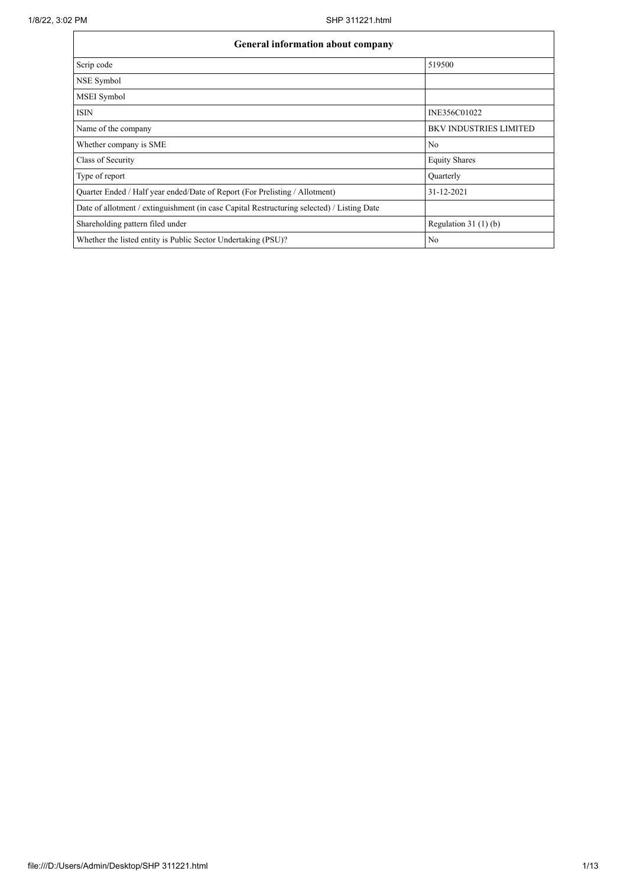| General information about company                                                          |                               |
|--------------------------------------------------------------------------------------------|-------------------------------|
| Scrip code                                                                                 | 519500                        |
| NSE Symbol                                                                                 |                               |
| MSEI Symbol                                                                                |                               |
| <b>ISIN</b>                                                                                | INE356C01022                  |
| Name of the company                                                                        | <b>BKV INDUSTRIES LIMITED</b> |
| Whether company is SME                                                                     | No                            |
| Class of Security                                                                          | <b>Equity Shares</b>          |
| Type of report                                                                             | Quarterly                     |
| Quarter Ended / Half year ended/Date of Report (For Prelisting / Allotment)                | 31-12-2021                    |
| Date of allotment / extinguishment (in case Capital Restructuring selected) / Listing Date |                               |
| Shareholding pattern filed under                                                           | Regulation $31(1)(b)$         |
| Whether the listed entity is Public Sector Undertaking (PSU)?                              | No                            |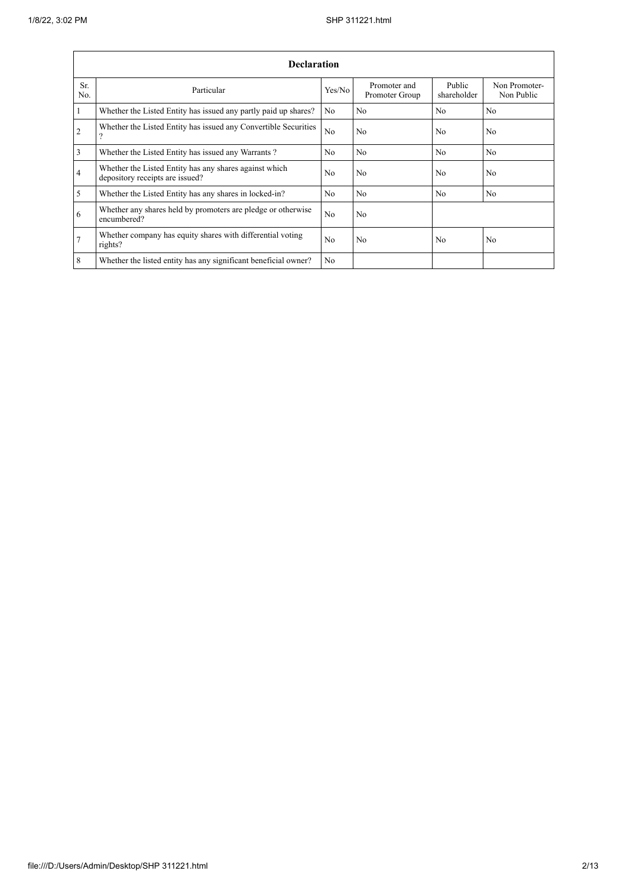$\mathbf{r}$ 

|                | <b>Declaration</b>                                                                        |                |                                |                       |                             |  |  |  |  |
|----------------|-------------------------------------------------------------------------------------------|----------------|--------------------------------|-----------------------|-----------------------------|--|--|--|--|
| Sr.<br>No.     | Particular                                                                                | Yes/No         | Promoter and<br>Promoter Group | Public<br>shareholder | Non Promoter-<br>Non Public |  |  |  |  |
| $\mathbf{1}$   | Whether the Listed Entity has issued any partly paid up shares?                           | N <sub>0</sub> | N <sub>o</sub>                 | N <sub>o</sub>        | N <sub>o</sub>              |  |  |  |  |
| $\overline{2}$ | Whether the Listed Entity has issued any Convertible Securities<br>າ                      | N <sub>o</sub> | No                             | N <sub>o</sub>        | N <sub>o</sub>              |  |  |  |  |
| $\overline{3}$ | Whether the Listed Entity has issued any Warrants?                                        | N <sub>0</sub> | No                             | N <sub>o</sub>        | N <sub>o</sub>              |  |  |  |  |
| $\overline{4}$ | Whether the Listed Entity has any shares against which<br>depository receipts are issued? | N <sub>0</sub> | N <sub>o</sub>                 | N <sub>o</sub>        | N <sub>o</sub>              |  |  |  |  |
| $\mathfrak{S}$ | Whether the Listed Entity has any shares in locked-in?                                    | N <sub>0</sub> | No                             | N <sub>0</sub>        | N <sub>o</sub>              |  |  |  |  |
| 6              | Whether any shares held by promoters are pledge or otherwise<br>encumbered?               | No             | N <sub>o</sub>                 |                       |                             |  |  |  |  |
| $\overline{7}$ | Whether company has equity shares with differential voting<br>rights?                     | No             | N <sub>o</sub>                 | N <sub>0</sub>        | N <sub>o</sub>              |  |  |  |  |
| 8              | Whether the listed entity has any significant beneficial owner?                           | N <sub>0</sub> |                                |                       |                             |  |  |  |  |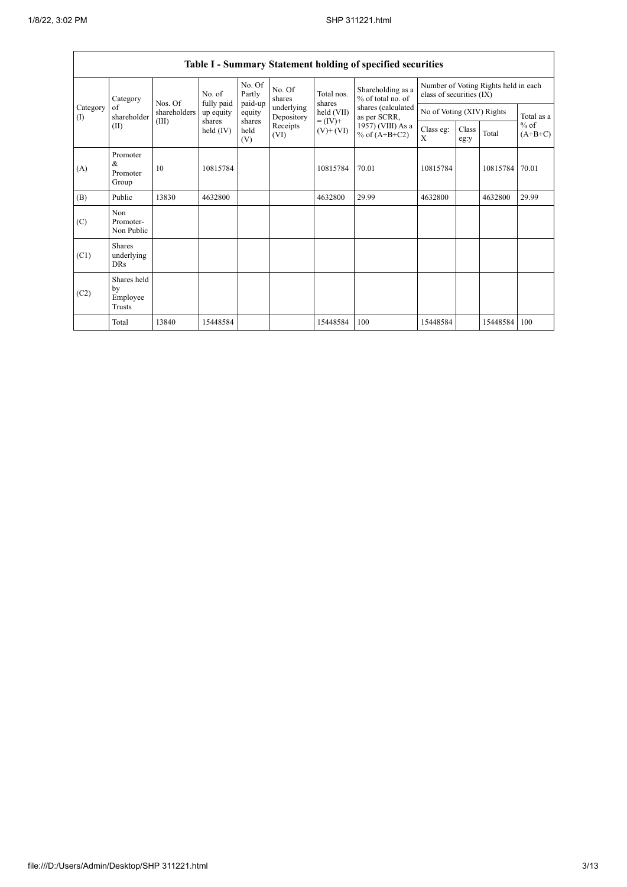$\mathsf{I}$ 

|                                        |                                           |                                                              |                       |                       |                                              |                                        | Table I - Summary Statement holding of specified securities      |                           |               |          |                     |
|----------------------------------------|-------------------------------------------|--------------------------------------------------------------|-----------------------|-----------------------|----------------------------------------------|----------------------------------------|------------------------------------------------------------------|---------------------------|---------------|----------|---------------------|
|                                        | Category                                  | No. of<br>fully paid<br>Nos. Of<br>shareholders<br>up equity | No. Of<br>Partly      | No. Of<br>shares      | Total nos.<br>shares                         | Shareholding as a<br>% of total no. of | Number of Voting Rights held in each<br>class of securities (IX) |                           |               |          |                     |
| Category<br>$\left( \mathrm{I}\right)$ | of<br>shareholder                         |                                                              |                       | paid-up<br>equity     | underlying<br>Depository<br>Receipts<br>(VI) | held (VII)                             | shares (calculated<br>as per SCRR,                               | No of Voting (XIV) Rights |               |          | Total as a          |
|                                        | (II)                                      | (III)                                                        | shares<br>held $(IV)$ | shares<br>held<br>(V) |                                              | $= (IV) +$<br>$(V)$ + $(VI)$           | 1957) (VIII) As a<br>% of $(A+B+C2)$                             | Class eg:<br>X            | Class<br>eg:y | Total    | $%$ of<br>$(A+B+C)$ |
| (A)                                    | Promoter<br>&<br>Promoter<br>Group        | 10                                                           | 10815784              |                       |                                              | 10815784                               | 70.01                                                            | 10815784                  |               | 10815784 | 70.01               |
| (B)                                    | Public                                    | 13830                                                        | 4632800               |                       |                                              | 4632800                                | 29.99                                                            | 4632800                   |               | 4632800  | 29.99               |
| (C)                                    | Non<br>Promoter-<br>Non Public            |                                                              |                       |                       |                                              |                                        |                                                                  |                           |               |          |                     |
| (C1)                                   | <b>Shares</b><br>underlying<br><b>DRs</b> |                                                              |                       |                       |                                              |                                        |                                                                  |                           |               |          |                     |
| (C2)                                   | Shares held<br>by<br>Employee<br>Trusts   |                                                              |                       |                       |                                              |                                        |                                                                  |                           |               |          |                     |
|                                        | Total                                     | 13840                                                        | 15448584              |                       |                                              | 15448584                               | 100                                                              | 15448584                  |               | 15448584 | 100                 |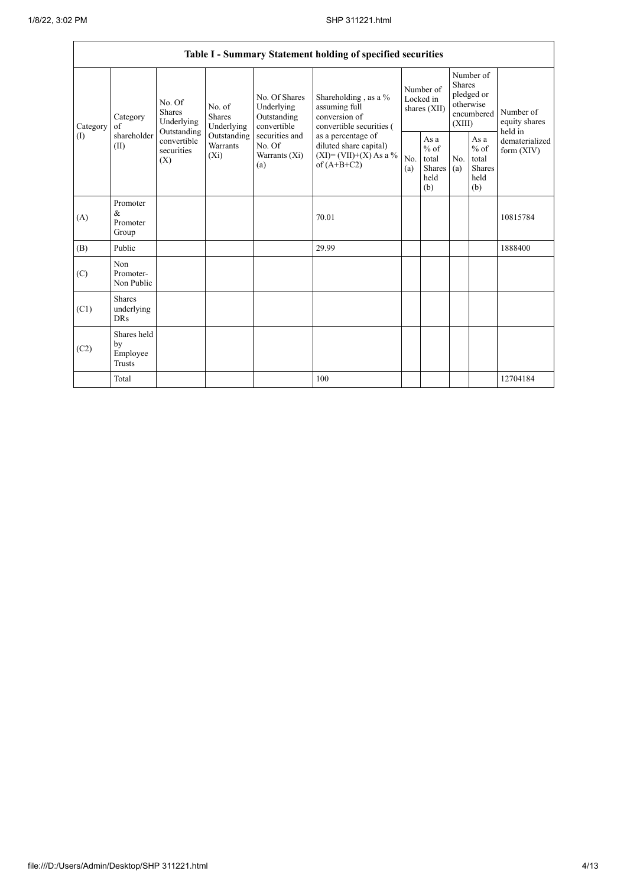|                 |                                                |                                                                                                                                                                  |                                                     |                                                                                            | Table I - Summary Statement holding of specified securities                        |                                                  |            |                                                                               |                                |                                       |
|-----------------|------------------------------------------------|------------------------------------------------------------------------------------------------------------------------------------------------------------------|-----------------------------------------------------|--------------------------------------------------------------------------------------------|------------------------------------------------------------------------------------|--------------------------------------------------|------------|-------------------------------------------------------------------------------|--------------------------------|---------------------------------------|
| Category<br>(1) | Category<br>of<br>shareholder<br>(II)          | No. Of<br>No. of<br>Shares<br><b>Shares</b><br>Underlying<br>Underlying<br>Outstanding<br>Outstanding<br>convertible<br>Warrants<br>securities<br>$(X_i)$<br>(X) |                                                     | No. Of Shares<br>Underlying<br>Outstanding<br>convertible                                  | Shareholding, as a %<br>assuming full<br>conversion of<br>convertible securities ( | Number of<br>Locked in<br>shares $(XII)$         |            | Number of<br><b>Shares</b><br>pledged or<br>otherwise<br>encumbered<br>(XIII) |                                | Number of<br>equity shares<br>held in |
|                 |                                                |                                                                                                                                                                  | securities and<br>No. Of<br>Warrants $(X_i)$<br>(a) | as a percentage of<br>diluted share capital)<br>$(XI) = (VII)+(X) As a %$<br>of $(A+B+C2)$ | No.<br>(a)                                                                         | As a<br>$%$ of<br>total<br>Shares<br>held<br>(b) | No.<br>(a) | As a<br>$%$ of<br>total<br><b>Shares</b><br>held<br>(b)                       | dematerialized<br>form $(XIV)$ |                                       |
| (A)             | Promoter<br>$\&$<br>Promoter<br>Group          |                                                                                                                                                                  |                                                     |                                                                                            | 70.01                                                                              |                                                  |            |                                                                               |                                | 10815784                              |
| (B)             | Public                                         |                                                                                                                                                                  |                                                     |                                                                                            | 29.99                                                                              |                                                  |            |                                                                               |                                | 1888400                               |
| (C)             | Non<br>Promoter-<br>Non Public                 |                                                                                                                                                                  |                                                     |                                                                                            |                                                                                    |                                                  |            |                                                                               |                                |                                       |
| (C1)            | Shares<br>underlying<br><b>DRs</b>             |                                                                                                                                                                  |                                                     |                                                                                            |                                                                                    |                                                  |            |                                                                               |                                |                                       |
| (C2)            | Shares held<br>by<br>Employee<br><b>Trusts</b> |                                                                                                                                                                  |                                                     |                                                                                            |                                                                                    |                                                  |            |                                                                               |                                |                                       |
|                 | Total                                          |                                                                                                                                                                  |                                                     |                                                                                            | 100                                                                                |                                                  |            |                                                                               |                                | 12704184                              |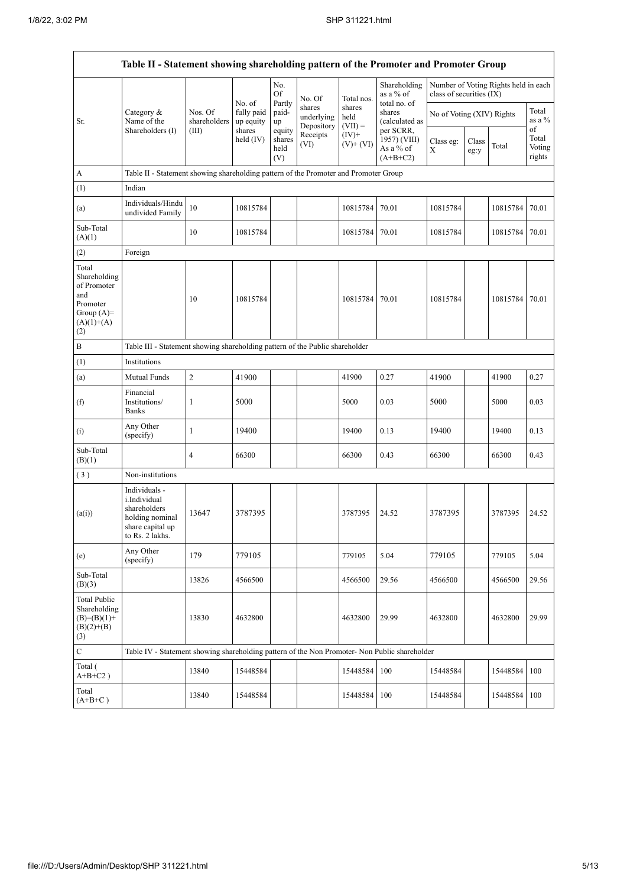$\Gamma$ 

 $\overline{\phantom{0}}$ 

|                                                                                                | Table II - Statement showing shareholding pattern of the Promoter and Promoter Group                    |                                                                              |                                   |                                 |                                    |                             |                                                      |                           |               |                                      |                           |  |  |
|------------------------------------------------------------------------------------------------|---------------------------------------------------------------------------------------------------------|------------------------------------------------------------------------------|-----------------------------------|---------------------------------|------------------------------------|-----------------------------|------------------------------------------------------|---------------------------|---------------|--------------------------------------|---------------------------|--|--|
|                                                                                                |                                                                                                         |                                                                              |                                   | No.<br>Of                       | No. Of                             | Total nos.                  | Shareholding<br>as a % of                            | class of securities (IX)  |               | Number of Voting Rights held in each |                           |  |  |
| Sr.                                                                                            | Category &<br>Name of the                                                                               | Nos. Of<br>shareholders                                                      | No. of<br>fully paid<br>up equity | Partly<br>paid-<br>up           | shares<br>underlying<br>Depository | shares<br>held<br>$(VII) =$ | total no. of<br>shares<br>(calculated as             | No of Voting (XIV) Rights |               |                                      | Total<br>as a %<br>of     |  |  |
|                                                                                                | Shareholders (I)                                                                                        | (III)                                                                        | shares<br>held (IV)               | equity<br>shares<br>held<br>(V) | Receipts<br>(VI)                   | $(IV)$ +<br>$(V)$ + $(VI)$  | per SCRR,<br>1957) (VIII)<br>As a % of<br>$(A+B+C2)$ | Class eg:<br>X            | Class<br>eg:y | Total                                | Total<br>Voting<br>rights |  |  |
| $\boldsymbol{\rm{A}}$                                                                          | Table II - Statement showing shareholding pattern of the Promoter and Promoter Group                    |                                                                              |                                   |                                 |                                    |                             |                                                      |                           |               |                                      |                           |  |  |
| (1)                                                                                            | Indian                                                                                                  |                                                                              |                                   |                                 |                                    |                             |                                                      |                           |               |                                      |                           |  |  |
| (a)                                                                                            | Individuals/Hindu<br>undivided Family                                                                   | 10                                                                           | 10815784                          |                                 |                                    | 10815784                    | 70.01                                                | 10815784                  |               | 10815784                             | 70.01                     |  |  |
| Sub-Total<br>(A)(1)                                                                            |                                                                                                         | 10                                                                           | 10815784                          |                                 |                                    | 10815784                    | 70.01                                                | 10815784                  |               | 10815784                             | 70.01                     |  |  |
| (2)                                                                                            | Foreign                                                                                                 |                                                                              |                                   |                                 |                                    |                             |                                                      |                           |               |                                      |                           |  |  |
| Total<br>Shareholding<br>of Promoter<br>and<br>Promoter<br>Group $(A)=$<br>$(A)(1)+(A)$<br>(2) |                                                                                                         | 10                                                                           | 10815784                          |                                 |                                    | 10815784                    | 70.01                                                | 10815784                  |               | 10815784                             | 70.01                     |  |  |
| $\, {\bf B}$                                                                                   |                                                                                                         | Table III - Statement showing shareholding pattern of the Public shareholder |                                   |                                 |                                    |                             |                                                      |                           |               |                                      |                           |  |  |
| (1)                                                                                            | Institutions                                                                                            |                                                                              |                                   |                                 |                                    |                             |                                                      |                           |               |                                      |                           |  |  |
| (a)                                                                                            | Mutual Funds                                                                                            | $\overline{2}$                                                               | 41900                             |                                 |                                    | 41900                       | 0.27                                                 | 41900                     |               | 41900                                | 0.27                      |  |  |
| (f)                                                                                            | Financial<br>Institutions/<br><b>Banks</b>                                                              | 1                                                                            | 5000                              |                                 |                                    | 5000                        | 0.03                                                 | 5000                      |               | 5000                                 | 0.03                      |  |  |
| (i)                                                                                            | Any Other<br>(specify)                                                                                  | 1                                                                            | 19400                             |                                 |                                    | 19400                       | 0.13                                                 | 19400                     |               | 19400                                | 0.13                      |  |  |
| Sub-Total<br>(B)(1)                                                                            |                                                                                                         | 4                                                                            | 66300                             |                                 |                                    | 66300                       | 0.43                                                 | 66300                     |               | 66300                                | 0.43                      |  |  |
| (3)                                                                                            | Non-institutions                                                                                        |                                                                              |                                   |                                 |                                    |                             |                                                      |                           |               |                                      |                           |  |  |
| (a(i))                                                                                         | Individuals -<br>i.Individual<br>shareholders<br>holding nominal<br>share capital up<br>to Rs. 2 lakhs. | 13647                                                                        | 3787395                           |                                 |                                    | 3787395                     | 24.52                                                | 3787395                   |               | 3787395                              | 24.52                     |  |  |
| (e)                                                                                            | Any Other<br>(specify)                                                                                  | 179                                                                          | 779105                            |                                 |                                    | 779105                      | 5.04                                                 | 779105                    |               | 779105                               | 5.04                      |  |  |
| Sub-Total<br>(B)(3)                                                                            |                                                                                                         | 13826                                                                        | 4566500                           |                                 |                                    | 4566500                     | 29.56                                                | 4566500                   |               | 4566500                              | 29.56                     |  |  |
| Total Public<br>Shareholding<br>$(B)=(B)(1)+$<br>$(B)(2)+(B)$<br>(3)                           |                                                                                                         | 13830                                                                        | 4632800                           |                                 |                                    | 4632800                     | 29.99                                                | 4632800                   |               | 4632800                              | 29.99                     |  |  |
| $\overline{C}$                                                                                 | Table IV - Statement showing shareholding pattern of the Non Promoter- Non Public shareholder           |                                                                              |                                   |                                 |                                    |                             |                                                      |                           |               |                                      |                           |  |  |
| Total (<br>$A+B+C2$ )                                                                          |                                                                                                         | 13840                                                                        | 15448584                          |                                 |                                    | 15448584                    | 100                                                  | 15448584                  |               | 15448584                             | 100                       |  |  |
| Total<br>$(A+B+C)$                                                                             |                                                                                                         | 13840                                                                        | 15448584                          |                                 |                                    | 15448584                    | 100                                                  | 15448584                  |               | 15448584                             | 100                       |  |  |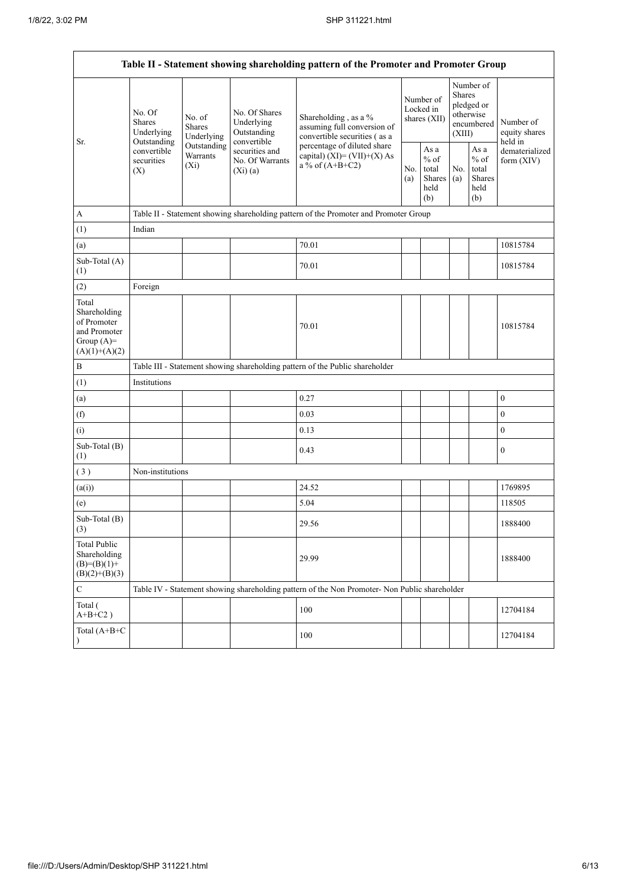.

| Sr.                                                                                     | No. Of<br><b>Shares</b><br>Underlying           | No. of<br><b>Shares</b><br>Underlying                                                                                                                                                            | No. Of Shares<br>Underlying<br>Outstanding                                                                                                                                                                                                                                                                                                                                 | Shareholding, as a %<br>assuming full conversion of<br>convertible securities (as a |            | Number of<br>Locked in<br>shares (XII)           |            |                                                  | Number of<br>equity shares                                                                                                                                                                                           |  |  |
|-----------------------------------------------------------------------------------------|-------------------------------------------------|--------------------------------------------------------------------------------------------------------------------------------------------------------------------------------------------------|----------------------------------------------------------------------------------------------------------------------------------------------------------------------------------------------------------------------------------------------------------------------------------------------------------------------------------------------------------------------------|-------------------------------------------------------------------------------------|------------|--------------------------------------------------|------------|--------------------------------------------------|----------------------------------------------------------------------------------------------------------------------------------------------------------------------------------------------------------------------|--|--|
|                                                                                         | Outstanding<br>convertible<br>securities<br>(X) | Outstanding<br>Warrants<br>$(X_i)$                                                                                                                                                               | securities and<br>No. Of Warrants<br>(Xi)(a)                                                                                                                                                                                                                                                                                                                               | percentage of diluted share<br>capital) $(XI) = (VII)+(X) As$<br>a % of $(A+B+C2)$  | No.<br>(a) | As a<br>$%$ of<br>total<br>Shares<br>held<br>(b) | No.<br>(a) | As a<br>$%$ of<br>total<br>Shares<br>held<br>(b) | held in<br>dematerialized<br>form $(XIV)$<br>10815784<br>10815784<br>10815784<br>$\boldsymbol{0}$<br>$\boldsymbol{0}$<br>$\boldsymbol{0}$<br>$\boldsymbol{0}$<br>1769895<br>118505<br>1888400<br>1888400<br>12704184 |  |  |
| A                                                                                       |                                                 |                                                                                                                                                                                                  | Table II - Statement showing shareholding pattern of the Promoter and Promoter Group<br>Number of<br>Shares<br>pledged or<br>otherwise<br>encumbered<br>(XIII)<br>convertible<br>Table II - Statement showing shareholding pattern of the Promoter and Promoter Group<br>70.01<br>70.01<br>70.01<br>0.27<br>0.03<br>0.13<br>0.43<br>24.52<br>5.04<br>29.56<br>29.99<br>100 |                                                                                     |            |                                                  |            |                                                  |                                                                                                                                                                                                                      |  |  |
| (1)                                                                                     | Indian                                          |                                                                                                                                                                                                  |                                                                                                                                                                                                                                                                                                                                                                            |                                                                                     |            |                                                  |            |                                                  |                                                                                                                                                                                                                      |  |  |
| (a)                                                                                     |                                                 |                                                                                                                                                                                                  |                                                                                                                                                                                                                                                                                                                                                                            |                                                                                     |            |                                                  |            |                                                  |                                                                                                                                                                                                                      |  |  |
| Sub-Total (A)<br>(1)                                                                    |                                                 |                                                                                                                                                                                                  |                                                                                                                                                                                                                                                                                                                                                                            |                                                                                     |            |                                                  |            |                                                  |                                                                                                                                                                                                                      |  |  |
| (2)                                                                                     | Foreign                                         |                                                                                                                                                                                                  |                                                                                                                                                                                                                                                                                                                                                                            |                                                                                     |            |                                                  |            |                                                  |                                                                                                                                                                                                                      |  |  |
| Total<br>Shareholding<br>of Promoter<br>and Promoter<br>Group $(A)=$<br>$(A)(1)+(A)(2)$ |                                                 |                                                                                                                                                                                                  |                                                                                                                                                                                                                                                                                                                                                                            |                                                                                     |            |                                                  |            |                                                  |                                                                                                                                                                                                                      |  |  |
| $\, {\bf B}$                                                                            |                                                 |                                                                                                                                                                                                  |                                                                                                                                                                                                                                                                                                                                                                            |                                                                                     |            |                                                  |            |                                                  |                                                                                                                                                                                                                      |  |  |
| (1)                                                                                     | Institutions                                    |                                                                                                                                                                                                  |                                                                                                                                                                                                                                                                                                                                                                            |                                                                                     |            |                                                  |            |                                                  |                                                                                                                                                                                                                      |  |  |
| (a)                                                                                     |                                                 |                                                                                                                                                                                                  |                                                                                                                                                                                                                                                                                                                                                                            |                                                                                     |            |                                                  |            |                                                  |                                                                                                                                                                                                                      |  |  |
| (f)                                                                                     |                                                 |                                                                                                                                                                                                  |                                                                                                                                                                                                                                                                                                                                                                            |                                                                                     |            |                                                  |            |                                                  |                                                                                                                                                                                                                      |  |  |
| (i)                                                                                     |                                                 |                                                                                                                                                                                                  |                                                                                                                                                                                                                                                                                                                                                                            |                                                                                     |            |                                                  |            |                                                  |                                                                                                                                                                                                                      |  |  |
| Sub-Total (B)<br>(1)                                                                    |                                                 |                                                                                                                                                                                                  |                                                                                                                                                                                                                                                                                                                                                                            |                                                                                     |            |                                                  |            |                                                  |                                                                                                                                                                                                                      |  |  |
| (3)                                                                                     | Non-institutions                                |                                                                                                                                                                                                  |                                                                                                                                                                                                                                                                                                                                                                            |                                                                                     |            |                                                  |            |                                                  |                                                                                                                                                                                                                      |  |  |
| (a(i))                                                                                  |                                                 |                                                                                                                                                                                                  |                                                                                                                                                                                                                                                                                                                                                                            |                                                                                     |            |                                                  |            |                                                  |                                                                                                                                                                                                                      |  |  |
| (e)                                                                                     |                                                 |                                                                                                                                                                                                  |                                                                                                                                                                                                                                                                                                                                                                            |                                                                                     |            |                                                  |            |                                                  |                                                                                                                                                                                                                      |  |  |
| Sub-Total (B)<br>(3)                                                                    |                                                 |                                                                                                                                                                                                  |                                                                                                                                                                                                                                                                                                                                                                            |                                                                                     |            |                                                  |            |                                                  |                                                                                                                                                                                                                      |  |  |
| <b>Total Public</b><br>Shareholding<br>$(B)= (B)(1) +$<br>$(B)(2)+(B)(3)$               |                                                 |                                                                                                                                                                                                  |                                                                                                                                                                                                                                                                                                                                                                            |                                                                                     |            |                                                  |            |                                                  |                                                                                                                                                                                                                      |  |  |
| $\mathbf C$                                                                             |                                                 | Table III - Statement showing shareholding pattern of the Public shareholder<br>Table IV - Statement showing shareholding pattern of the Non Promoter- Non Public shareholder<br>100<br>12704184 |                                                                                                                                                                                                                                                                                                                                                                            |                                                                                     |            |                                                  |            |                                                  |                                                                                                                                                                                                                      |  |  |
| Total (<br>$A+B+C2$ )                                                                   |                                                 |                                                                                                                                                                                                  |                                                                                                                                                                                                                                                                                                                                                                            |                                                                                     |            |                                                  |            |                                                  |                                                                                                                                                                                                                      |  |  |
| Total (A+B+C                                                                            |                                                 |                                                                                                                                                                                                  |                                                                                                                                                                                                                                                                                                                                                                            |                                                                                     |            |                                                  |            |                                                  |                                                                                                                                                                                                                      |  |  |

÷,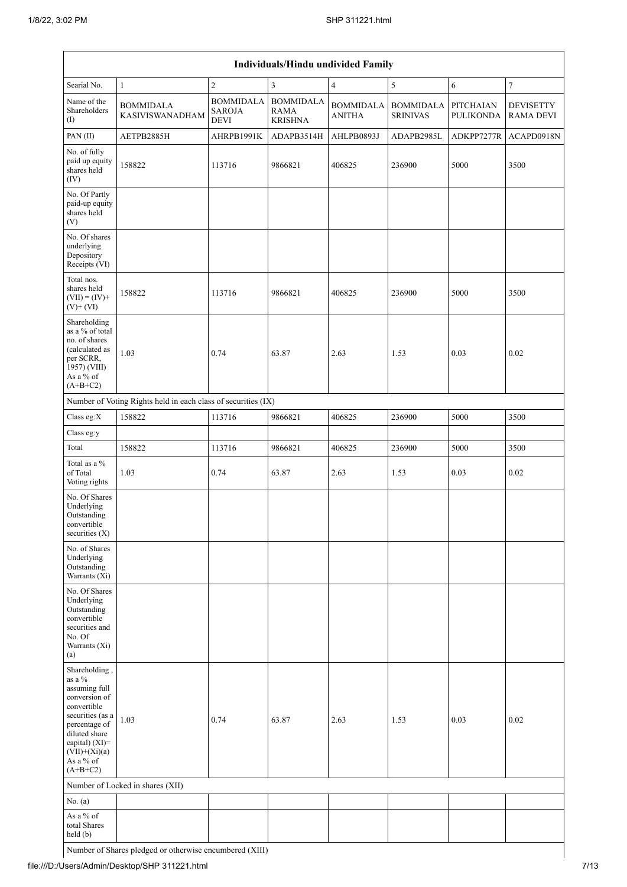|                                                                                                                                                                                                      | Individuals/Hindu undivided Family                            |                                                  |                                                   |                                   |                                     |                               |                                      |  |  |  |  |
|------------------------------------------------------------------------------------------------------------------------------------------------------------------------------------------------------|---------------------------------------------------------------|--------------------------------------------------|---------------------------------------------------|-----------------------------------|-------------------------------------|-------------------------------|--------------------------------------|--|--|--|--|
| Searial No.                                                                                                                                                                                          | $\mathbf{1}$                                                  | $\overline{c}$                                   | 3                                                 | $\overline{4}$                    | $\sqrt{5}$                          | 6                             | $\boldsymbol{7}$                     |  |  |  |  |
| Name of the<br>Shareholders<br>(I)                                                                                                                                                                   | <b>BOMMIDALA</b><br><b>KASIVISWANADHAM</b>                    | <b>BOMMIDALA</b><br><b>SAROJA</b><br><b>DEVI</b> | <b>BOMMIDALA</b><br><b>RAMA</b><br><b>KRISHNA</b> | <b>BOMMIDALA</b><br><b>ANITHA</b> | <b>BOMMIDALA</b><br><b>SRINIVAS</b> | PITCHAIAN<br><b>PULIKONDA</b> | <b>DEVISETTY</b><br><b>RAMA DEVI</b> |  |  |  |  |
| PAN(II)                                                                                                                                                                                              | AETPB2885H                                                    | AHRPB1991K                                       | ADAPB3514H                                        | AHLPB0893J                        | ADAPB2985L                          | ADKPP7277R                    | ACAPD0918N                           |  |  |  |  |
| No. of fully<br>paid up equity<br>shares held<br>(IV)                                                                                                                                                | 158822                                                        | 113716                                           | 9866821                                           | 406825                            | 236900                              | 5000                          | 3500                                 |  |  |  |  |
| No. Of Partly<br>paid-up equity<br>shares held<br>(V)                                                                                                                                                |                                                               |                                                  |                                                   |                                   |                                     |                               |                                      |  |  |  |  |
| No. Of shares<br>underlying<br>Depository<br>Receipts (VI)                                                                                                                                           |                                                               |                                                  |                                                   |                                   |                                     |                               |                                      |  |  |  |  |
| Total nos.<br>shares held<br>$(VII) = (IV) +$<br>$(V)$ + $(VI)$                                                                                                                                      | 158822                                                        | 113716                                           | 9866821                                           | 406825                            | 236900                              | 5000                          | 3500                                 |  |  |  |  |
| Shareholding<br>as a % of total<br>no. of shares<br>(calculated as<br>per SCRR,<br>1957) (VIII)<br>As a % of<br>$(A+B+C2)$                                                                           | 1.03                                                          | 0.74                                             | 63.87                                             | 2.63                              | 1.53                                | 0.03                          | 0.02                                 |  |  |  |  |
|                                                                                                                                                                                                      | Number of Voting Rights held in each class of securities (IX) |                                                  |                                                   |                                   |                                     |                               |                                      |  |  |  |  |
| Class eg: $X$                                                                                                                                                                                        | 158822                                                        | 113716                                           | 9866821                                           | 406825                            | 236900                              | 5000                          | 3500                                 |  |  |  |  |
| Class eg:y                                                                                                                                                                                           |                                                               |                                                  |                                                   |                                   |                                     |                               |                                      |  |  |  |  |
| Total                                                                                                                                                                                                | 158822                                                        | 113716                                           | 9866821                                           | 406825                            | 236900                              | 5000                          | 3500                                 |  |  |  |  |
| Total as a %<br>of Total<br>Voting rights                                                                                                                                                            | 1.03                                                          | 0.74                                             | 63.87                                             | 2.63                              | 1.53                                | 0.03                          | 0.02                                 |  |  |  |  |
| No. Of Shares<br>Underlying<br>Outstanding<br>convertible<br>securities $(X)$                                                                                                                        |                                                               |                                                  |                                                   |                                   |                                     |                               |                                      |  |  |  |  |
| No. of Shares<br>Underlying<br>Outstanding<br>Warrants (Xi)                                                                                                                                          |                                                               |                                                  |                                                   |                                   |                                     |                               |                                      |  |  |  |  |
| No. Of Shares<br>Underlying<br>Outstanding<br>convertible<br>securities and<br>No. Of<br>Warrants (Xi)<br>(a)                                                                                        |                                                               |                                                  |                                                   |                                   |                                     |                               |                                      |  |  |  |  |
| Shareholding,<br>as a $\%$<br>assuming full<br>conversion of<br>convertible<br>securities (as a<br>percentage of<br>diluted share<br>capital) $(XI)$ =<br>$(VII)+(Xi)(a)$<br>As a % of<br>$(A+B+C2)$ | 1.03                                                          | 0.74                                             | 63.87                                             | 2.63                              | 1.53                                | 0.03                          | 0.02                                 |  |  |  |  |
|                                                                                                                                                                                                      | Number of Locked in shares (XII)                              |                                                  |                                                   |                                   |                                     |                               |                                      |  |  |  |  |
| No. (a)                                                                                                                                                                                              |                                                               |                                                  |                                                   |                                   |                                     |                               |                                      |  |  |  |  |
| As a % of<br>total Shares<br>held (b)                                                                                                                                                                |                                                               |                                                  |                                                   |                                   |                                     |                               |                                      |  |  |  |  |

Number of Shares pledged or otherwise encumbered (XIII)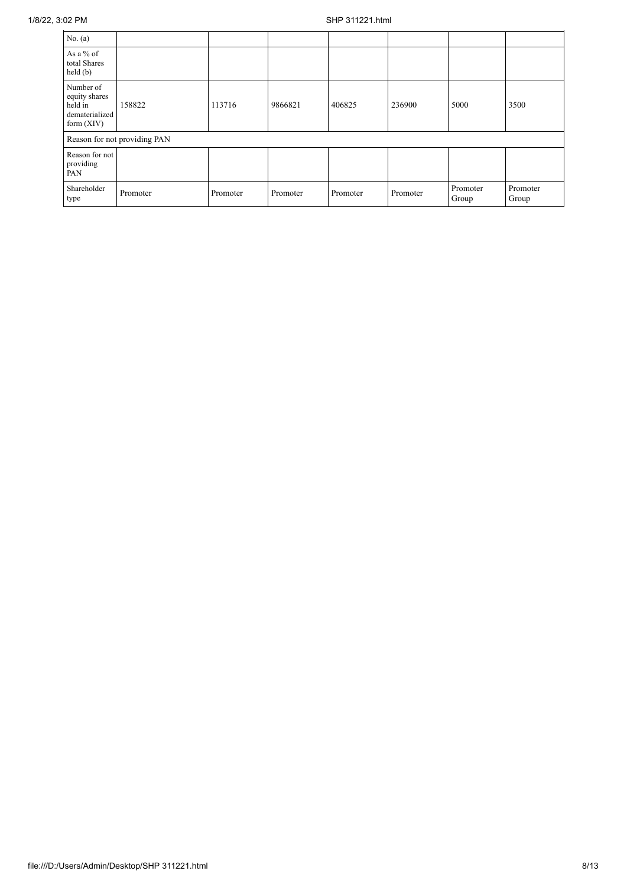| No. (a)                                                                 |                              |          |          |          |          |                   |                   |
|-------------------------------------------------------------------------|------------------------------|----------|----------|----------|----------|-------------------|-------------------|
| As a % of<br>total Shares<br>$\text{held}(\text{b})$                    |                              |          |          |          |          |                   |                   |
| Number of<br>equity shares<br>held in<br>dematerialized<br>form $(XIV)$ | 158822                       | 113716   | 9866821  | 406825   | 236900   | 5000              | 3500              |
|                                                                         | Reason for not providing PAN |          |          |          |          |                   |                   |
| Reason for not<br>providing<br>PAN                                      |                              |          |          |          |          |                   |                   |
| Shareholder<br>type                                                     | Promoter                     | Promoter | Promoter | Promoter | Promoter | Promoter<br>Group | Promoter<br>Group |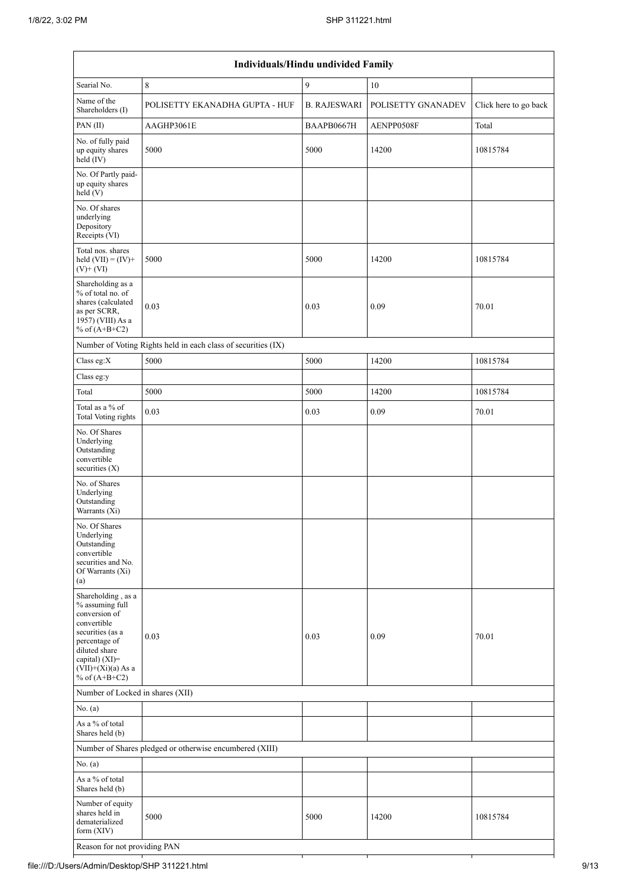|                                                                                                                                                                                          | Individuals/Hindu undivided Family                            |                     |                    |                       |
|------------------------------------------------------------------------------------------------------------------------------------------------------------------------------------------|---------------------------------------------------------------|---------------------|--------------------|-----------------------|
| Searial No.                                                                                                                                                                              | $\,8\,$                                                       | $\mathbf{9}$        | 10                 |                       |
| Name of the<br>Shareholders (I)                                                                                                                                                          | POLISETTY EKANADHA GUPTA - HUF                                | <b>B. RAJESWARI</b> | POLISETTY GNANADEV | Click here to go back |
| PAN(II)                                                                                                                                                                                  | AAGHP3061E                                                    | BAAPB0667H          | AENPP0508F         | Total                 |
| No. of fully paid<br>up equity shares<br>held (IV)                                                                                                                                       | 5000                                                          | 5000                | 14200              | 10815784              |
| No. Of Partly paid-<br>up equity shares<br>held(V)                                                                                                                                       |                                                               |                     |                    |                       |
| No. Of shares<br>underlying<br>Depository<br>Receipts (VI)                                                                                                                               |                                                               |                     |                    |                       |
| Total nos. shares<br>held $(VII) = (IV) +$<br>$(V)$ + $(VI)$                                                                                                                             | 5000                                                          | 5000                | 14200              | 10815784              |
| Shareholding as a<br>% of total no. of<br>shares (calculated<br>as per SCRR,<br>1957) (VIII) As a<br>% of $(A+B+C2)$                                                                     | 0.03                                                          | 0.03                | 0.09               | 70.01                 |
|                                                                                                                                                                                          | Number of Voting Rights held in each class of securities (IX) |                     |                    |                       |
| Class eg:X                                                                                                                                                                               | 5000                                                          | 5000                | 14200              | 10815784              |
| Class eg:y                                                                                                                                                                               |                                                               |                     |                    |                       |
| Total                                                                                                                                                                                    | 5000                                                          | 5000                | 14200              | 10815784              |
| Total as a % of<br><b>Total Voting rights</b>                                                                                                                                            | 0.03                                                          | 0.03                | 0.09               | 70.01                 |
| No. Of Shares<br>Underlying<br>Outstanding<br>convertible<br>securities (X)                                                                                                              |                                                               |                     |                    |                       |
| No. of Shares<br>Underlying<br>Outstanding<br>Warrants (Xi)                                                                                                                              |                                                               |                     |                    |                       |
| No. Of Shares<br>Underlying<br>Outstanding<br>convertible<br>securities and No.<br>Of Warrants (Xi)<br>(a)                                                                               |                                                               |                     |                    |                       |
| Shareholding, as a<br>% assuming full<br>conversion of<br>convertible<br>securities (as a<br>percentage of<br>diluted share<br>capital) (XI)=<br>$(VII)+(Xi)(a)$ As a<br>% of $(A+B+C2)$ | 0.03                                                          | 0.03                | 0.09               | 70.01                 |
| Number of Locked in shares (XII)                                                                                                                                                         |                                                               |                     |                    |                       |
| No. (a)                                                                                                                                                                                  |                                                               |                     |                    |                       |
| As a % of total<br>Shares held (b)                                                                                                                                                       |                                                               |                     |                    |                       |
|                                                                                                                                                                                          | Number of Shares pledged or otherwise encumbered (XIII)       |                     |                    |                       |
| No. (a)                                                                                                                                                                                  |                                                               |                     |                    |                       |
| As a % of total<br>Shares held (b)                                                                                                                                                       |                                                               |                     |                    |                       |
| Number of equity<br>shares held in<br>dematerialized<br>form $(XIV)$                                                                                                                     | 5000                                                          | 5000                | 14200              | 10815784              |
| Reason for not providing PAN                                                                                                                                                             |                                                               |                     |                    |                       |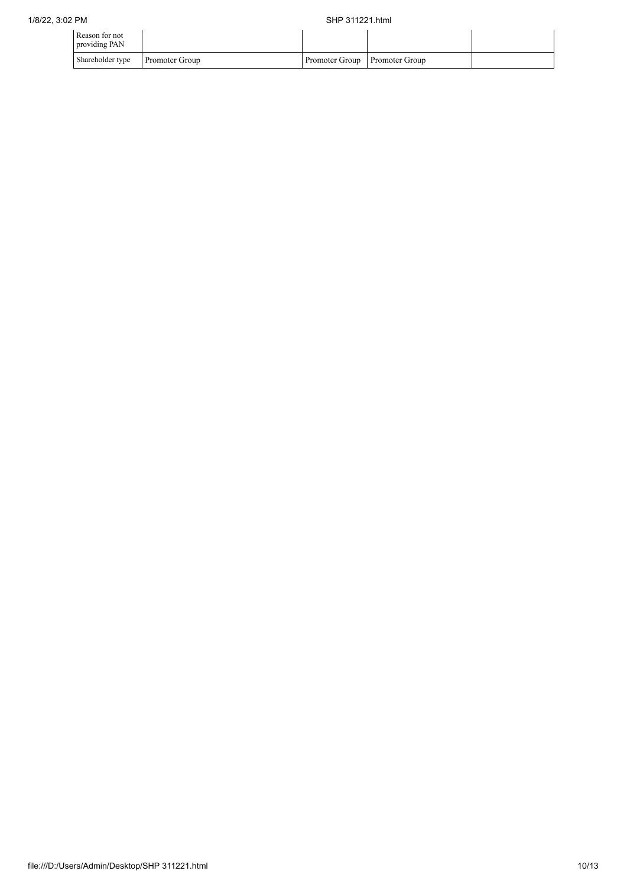| Reason for not<br>providing PAN |                       |                               |  |
|---------------------------------|-----------------------|-------------------------------|--|
| Shareholder type                | <b>Promoter Group</b> | Promoter Group Promoter Group |  |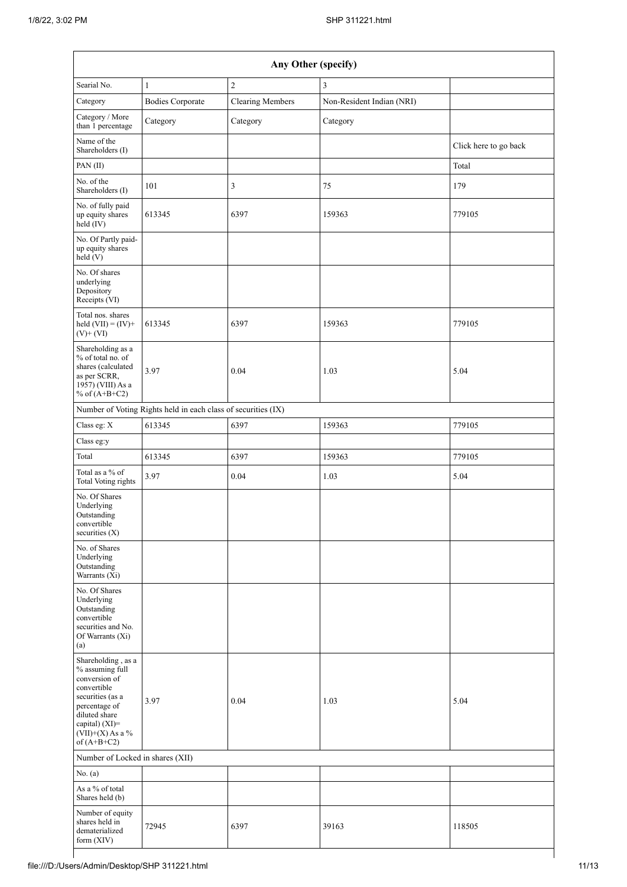|                                                                                                                                                                                      |                                                               | Any Other (specify)     |                           |                       |
|--------------------------------------------------------------------------------------------------------------------------------------------------------------------------------------|---------------------------------------------------------------|-------------------------|---------------------------|-----------------------|
| Searial No.                                                                                                                                                                          | $\mathbf{1}$                                                  | $\sqrt{2}$              | 3                         |                       |
| Category                                                                                                                                                                             | <b>Bodies Corporate</b>                                       | <b>Clearing Members</b> | Non-Resident Indian (NRI) |                       |
| Category / More<br>than 1 percentage                                                                                                                                                 | Category                                                      | Category                | Category                  |                       |
| Name of the<br>Shareholders (I)                                                                                                                                                      |                                                               |                         |                           | Click here to go back |
| PAN(II)                                                                                                                                                                              |                                                               |                         |                           | Total                 |
| No. of the<br>Shareholders (I)                                                                                                                                                       | 101                                                           | 3                       | 75                        | 179                   |
| No. of fully paid<br>up equity shares<br>held (IV)                                                                                                                                   | 613345                                                        | 6397                    | 159363                    | 779105                |
| No. Of Partly paid-<br>up equity shares<br>held $(V)$                                                                                                                                |                                                               |                         |                           |                       |
| No. Of shares<br>underlying<br>Depository<br>Receipts (VI)                                                                                                                           |                                                               |                         |                           |                       |
| Total nos. shares<br>held $(VII) = (IV) +$<br>$(V)$ + $(VI)$                                                                                                                         | 613345                                                        | 6397                    | 159363                    | 779105                |
| Shareholding as a<br>% of total no. of<br>shares (calculated<br>as per SCRR,<br>1957) (VIII) As a<br>% of $(A+B+C2)$                                                                 | 3.97                                                          | 0.04                    | 1.03                      | 5.04                  |
|                                                                                                                                                                                      | Number of Voting Rights held in each class of securities (IX) |                         |                           |                       |
| Class eg: X                                                                                                                                                                          | 613345                                                        | 6397                    | 159363                    | 779105                |
| Class eg:y                                                                                                                                                                           |                                                               |                         |                           |                       |
| Total                                                                                                                                                                                | 613345                                                        | 6397                    | 159363                    | 779105                |
| Total as a % of<br><b>Total Voting rights</b>                                                                                                                                        | 3.97                                                          | 0.04                    | 1.03                      | 5.04                  |
| No. Of Shares<br>Underlying<br>Outstanding<br>convertible<br>securities $(X)$                                                                                                        |                                                               |                         |                           |                       |
| No. of Shares<br>Underlying<br>Outstanding<br>Warrants (Xi)                                                                                                                          |                                                               |                         |                           |                       |
| No. Of Shares<br>Underlying<br>Outstanding<br>convertible<br>securities and No.<br>Of Warrants (Xi)<br>(a)                                                                           |                                                               |                         |                           |                       |
| Shareholding, as a<br>% assuming full<br>conversion of<br>convertible<br>securities (as a<br>percentage of<br>diluted share<br>capital) (XI)=<br>$(VII)+(X)$ As a %<br>of $(A+B+C2)$ | 3.97                                                          | 0.04                    | 1.03                      | 5.04                  |
| Number of Locked in shares (XII)                                                                                                                                                     |                                                               |                         |                           |                       |
| No. $(a)$                                                                                                                                                                            |                                                               |                         |                           |                       |
| As a % of total<br>Shares held (b)                                                                                                                                                   |                                                               |                         |                           |                       |
| Number of equity<br>shares held in<br>dematerialized<br>form $(XIV)$                                                                                                                 | 72945                                                         | 6397                    | 39163                     | 118505                |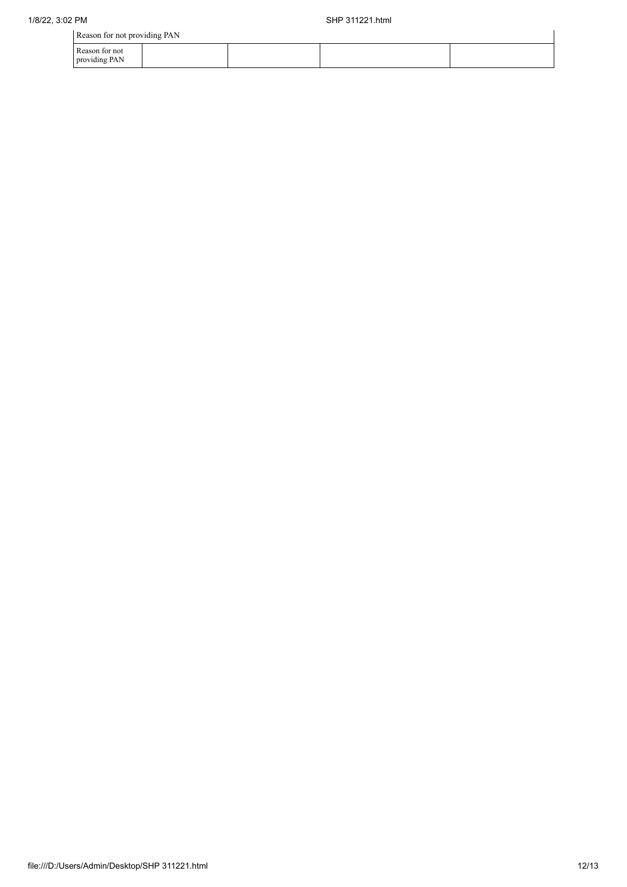| Reason for not providing PAN |  |
|------------------------------|--|
|------------------------------|--|

| Reason for not providing PAN    |  |  |  |  |
|---------------------------------|--|--|--|--|
| Reason for not<br>providing PAN |  |  |  |  |